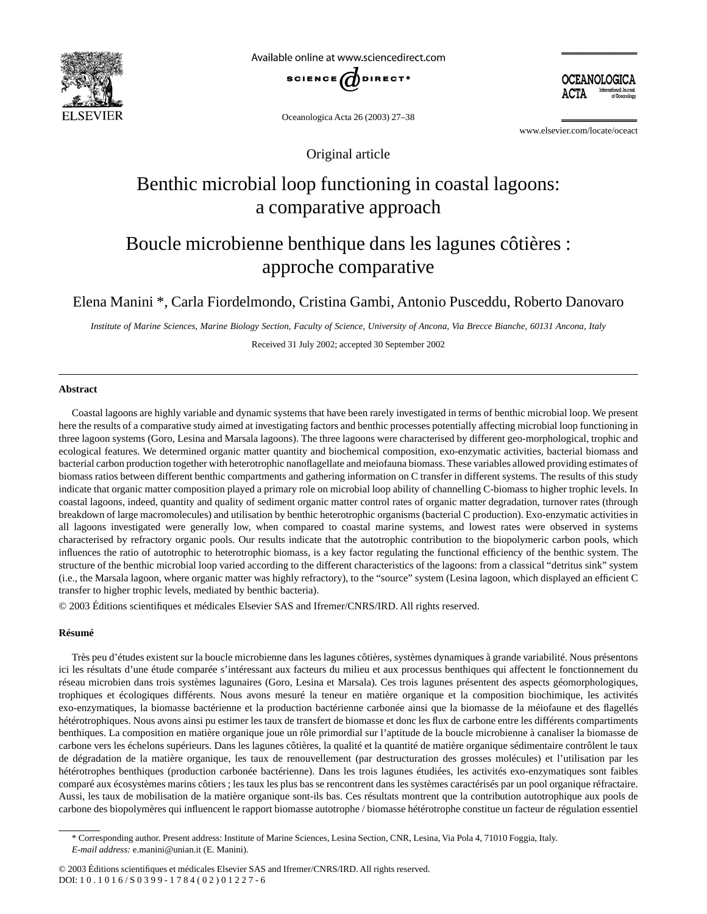

Available online at www.sciencedirect.com



Oceanologica Acta 26 (2003) 27–38

www.elsevier.com/locate/oceact

OCEANOLOGICA

Original article

# Benthic microbial loop functioning in coastal lagoons: a comparative approach

# Boucle microbienne benthique dans les lagunes côtières : approche comparative

Elena Manini \*, Carla Fiordelmondo, Cristina Gambi, Antonio Pusceddu, Roberto Danovaro

*Institute of Marine Sciences, Marine Biology Section, Faculty of Science, University of Ancona, Via Brecce Bianche, 60131 Ancona, Italy* Received 31 July 2002; accepted 30 September 2002

## **Abstract**

Coastal lagoons are highly variable and dynamic systems that have been rarely investigated in terms of benthic microbial loop. We present here the results of a comparative study aimed at investigating factors and benthic processes potentially affecting microbial loop functioning in three lagoon systems (Goro, Lesina and Marsala lagoons). The three lagoons were characterised by different geo-morphological, trophic and ecological features. We determined organic matter quantity and biochemical composition, exo-enzymatic activities, bacterial biomass and bacterial carbon production together with heterotrophic nanoflagellate and meiofauna biomass. These variables allowed providing estimates of biomass ratios between different benthic compartments and gathering information on C transfer in different systems. The results of this study indicate that organic matter composition played a primary role on microbial loop ability of channelling C-biomass to higher trophic levels. In coastal lagoons, indeed, quantity and quality of sediment organic matter control rates of organic matter degradation, turnover rates (through breakdown of large macromolecules) and utilisation by benthic heterotrophic organisms (bacterial C production). Exo-enzymatic activities in all lagoons investigated were generally low, when compared to coastal marine systems, and lowest rates were observed in systems characterised by refractory organic pools. Our results indicate that the autotrophic contribution to the biopolymeric carbon pools, which influences the ratio of autotrophic to heterotrophic biomass, is a key factor regulating the functional efficiency of the benthic system. The structure of the benthic microbial loop varied according to the different characteristics of the lagoons: from a classical "detritus sink" system (i.e., the Marsala lagoon, where organic matter was highly refractory), to the "source" system (Lesina lagoon, which displayed an efficient C transfer to higher trophic levels, mediated by benthic bacteria).

© 2003 Éditions scientifiques et médicales Elsevier SAS and Ifremer/CNRS/IRD. All rights reserved.

## **Résumé**

Très peu d'études existent sur la boucle microbienne dans les lagunes côtières, systèmes dynamiques à grande variabilité. Nous présentons ici les résultats d'une étude comparée s'intéressant aux facteurs du milieu et aux processus benthiques qui affectent le fonctionnement du réseau microbien dans trois systèmes lagunaires (Goro, Lesina et Marsala). Ces trois lagunes présentent des aspects géomorphologiques, trophiques et écologiques différents. Nous avons mesuré la teneur en matière organique et la composition biochimique, les activités exo-enzymatiques, la biomasse bactérienne et la production bactérienne carbonée ainsi que la biomasse de la méiofaune et des flagellés hétérotrophiques. Nous avons ainsi pu estimer les taux de transfert de biomasse et donc les flux de carbone entre les différents compartiments benthiques. La composition en matière organique joue un rôle primordial sur l'aptitude de la boucle microbienne à canaliser la biomasse de carbone vers les échelons supérieurs. Dans les lagunes côtières, la qualité et la quantité de matière organique sédimentaire contrôlent le taux de dégradation de la matière organique, les taux de renouvellement (par destructuration des grosses molécules) et l'utilisation par les hétérotrophes benthiques (production carbonée bactérienne). Dans les trois lagunes étudiées, les activités exo-enzymatiques sont faibles comparé aux écosystèmes marins côtiers ; les taux les plus bas se rencontrent dans les systèmes caractérisés par un pool organique réfractaire. Aussi, les taux de mobilisation de la matière organique sont-ils bas. Ces résultats montrent que la contribution autotrophique aux pools de carbone des biopolymères qui influencent le rapport biomasse autotrophe / biomasse hétérotrophe constitue un facteur de régulation essentiel

<sup>\*</sup> Corresponding author. Present address: Institute of Marine Sciences, Lesina Section, CNR, Lesina, Via Pola 4, 71010 Foggia, Italy. *E-mail address:* e.manini@unian.it (E. Manini).

<sup>© 2003</sup> Éditions scientifiques et médicales Elsevier SAS and Ifremer/CNRS/IRD. All rights reserved. DOI: 10.1016/S0399-1784(02)01227-6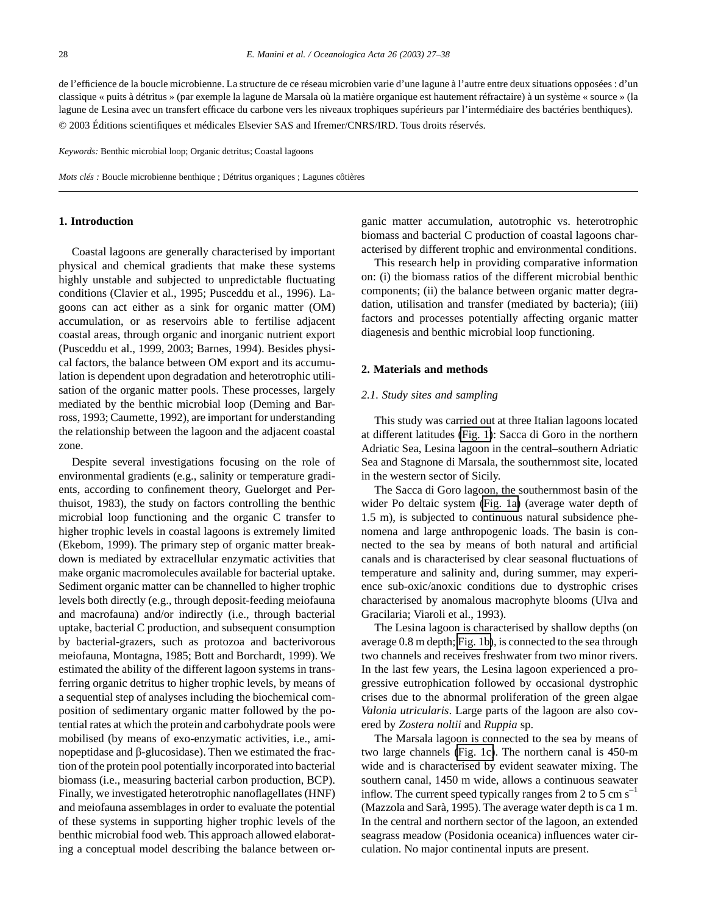de l'efficience de la boucle microbienne. La structure de ce réseau microbien varie d'une lagune à l'autre entre deux situations opposées : d'un classique « puits à détritus » (par exemple la lagune de Marsala où la matière organique est hautement réfractaire) à un système « source » (la lagune de Lesina avec un transfert efficace du carbone vers les niveaux trophiques supérieurs par l'intermédiaire des bactéries benthiques). © 2003 Éditions scientifiques et médicales Elsevier SAS and Ifremer/CNRS/IRD. Tous droits réservés.

*Keywords:* Benthic microbial loop; Organic detritus; Coastal lagoons

*Mots clés :* Boucle microbienne benthique ; Détritus organiques ; Lagunes côtières

## **1. Introduction**

Coastal lagoons are generally characterised by important physical and chemical gradients that make these systems highly unstable and subjected to unpredictable fluctuating conditions (Clavier et al., 1995; Pusceddu et al., 1996). Lagoons can act either as a sink for organic matter (OM) accumulation, or as reservoirs able to fertilise adjacent coastal areas, through organic and inorganic nutrient export (Pusceddu et al., 1999, 2003; Barnes, 1994). Besides physical factors, the balance between OM export and its accumulation is dependent upon degradation and heterotrophic utilisation of the organic matter pools. These processes, largely mediated by the benthic microbial loop (Deming and Barross, 1993; Caumette, 1992), are important for understanding the relationship between the lagoon and the adjacent coastal zone.

Despite several investigations focusing on the role of environmental gradients (e.g., salinity or temperature gradients, according to confinement theory, Guelorget and Perthuisot, 1983), the study on factors controlling the benthic microbial loop functioning and the organic C transfer to higher trophic levels in coastal lagoons is extremely limited (Ekebom, 1999). The primary step of organic matter breakdown is mediated by extracellular enzymatic activities that make organic macromolecules available for bacterial uptake. Sediment organic matter can be channelled to higher trophic levels both directly (e.g., through deposit-feeding meiofauna and macrofauna) and/or indirectly (i.e., through bacterial uptake, bacterial C production, and subsequent consumption by bacterial-grazers, such as protozoa and bacterivorous meiofauna, Montagna, 1985; Bott and Borchardt, 1999). We estimated the ability of the different lagoon systems in transferring organic detritus to higher trophic levels, by means of a sequential step of analyses including the biochemical composition of sedimentary organic matter followed by the potential rates at which the protein and carbohydrate pools were mobilised (by means of exo-enzymatic activities, i.e., aminopeptidase and  $\beta$ -glucosidase). Then we estimated the fraction of the protein pool potentially incorporated into bacterial biomass (i.e., measuring bacterial carbon production, BCP). Finally, we investigated heterotrophic nanoflagellates (HNF) and meiofauna assemblages in order to evaluate the potential of these systems in supporting higher trophic levels of the benthic microbial food web. This approach allowed elaborating a conceptual model describing the balance between organic matter accumulation, autotrophic vs. heterotrophic biomass and bacterial C production of coastal lagoons characterised by different trophic and environmental conditions.

This research help in providing comparative information on: (i) the biomass ratios of the different microbial benthic components; (ii) the balance between organic matter degradation, utilisation and transfer (mediated by bacteria); (iii) factors and processes potentially affecting organic matter diagenesis and benthic microbial loop functioning.

#### **2. Materials and methods**

#### *2.1. Study sites and sampling*

This study was carried out at three Italian lagoons located at different latitudes [\(Fig. 1\)](#page-2-0): Sacca di Goro in the northern Adriatic Sea, Lesina lagoon in the central–southern Adriatic Sea and Stagnone di Marsala, the southernmost site, located in the western sector of Sicily.

The Sacca di Goro lagoon, the southernmost basin of the wider Po deltaic system [\(Fig. 1a\)](#page-2-0) (average water depth of 1.5 m), is subjected to continuous natural subsidence phenomena and large anthropogenic loads. The basin is connected to the sea by means of both natural and artificial canals and is characterised by clear seasonal fluctuations of temperature and salinity and, during summer, may experience sub-oxic/anoxic conditions due to dystrophic crises characterised by anomalous macrophyte blooms (Ulva and Gracilaria; Viaroli et al., 1993).

The Lesina lagoon is characterised by shallow depths (on average 0.8 m depth; [Fig. 1b\)](#page-2-0), is connected to the sea through two channels and receives freshwater from two minor rivers. In the last few years, the Lesina lagoon experienced a progressive eutrophication followed by occasional dystrophic crises due to the abnormal proliferation of the green algae *Valonia utricularis*. Large parts of the lagoon are also covered by *Zostera noltii* and *Ruppia* sp.

The Marsala lagoon is connected to the sea by means of two large channels [\(Fig. 1c\)](#page-2-0). The northern canal is 450-m wide and is characterised by evident seawater mixing. The southern canal, 1450 m wide, allows a continuous seawater inflow. The current speed typically ranges from 2 to 5 cm  $s^{-1}$ (Mazzola and Sarà, 1995). The average water depth is ca 1 m. In the central and northern sector of the lagoon, an extended seagrass meadow (Posidonia oceanica) influences water circulation. No major continental inputs are present.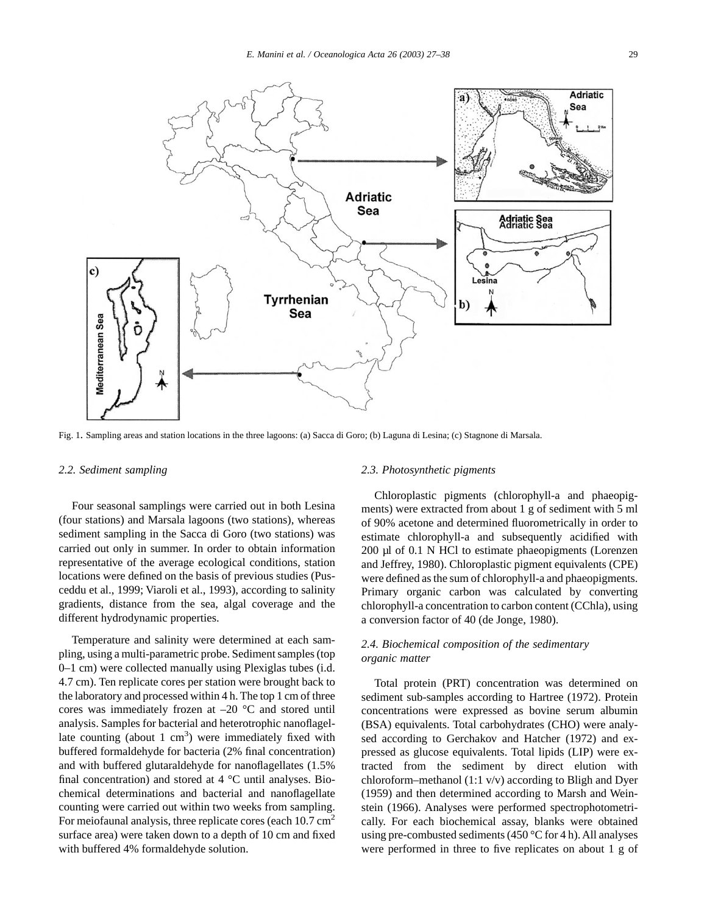<span id="page-2-0"></span>

Fig. 1. Sampling areas and station locations in the three lagoons: (a) Sacca di Goro; (b) Laguna di Lesina; (c) Stagnone di Marsala.

#### *2.2. Sediment sampling*

Four seasonal samplings were carried out in both Lesina (four stations) and Marsala lagoons (two stations), whereas sediment sampling in the Sacca di Goro (two stations) was carried out only in summer. In order to obtain information representative of the average ecological conditions, station locations were defined on the basis of previous studies (Pusceddu et al., 1999; Viaroli et al., 1993), according to salinity gradients, distance from the sea, algal coverage and the different hydrodynamic properties.

Temperature and salinity were determined at each sampling, using a multi-parametric probe. Sediment samples (top 0–1 cm) were collected manually using Plexiglas tubes (i.d. 4.7 cm). Ten replicate cores per station were brought back to the laboratory and processed within 4 h. The top 1 cm of three cores was immediately frozen at  $-20$  °C and stored until analysis. Samples for bacterial and heterotrophic nanoflagellate counting (about 1  $\text{cm}^3$ ) were immediately fixed with buffered formaldehyde for bacteria (2% final concentration) and with buffered glutaraldehyde for nanoflagellates (1.5% final concentration) and stored at  $4^{\circ}$ C until analyses. Biochemical determinations and bacterial and nanoflagellate counting were carried out within two weeks from sampling. For meiofaunal analysis, three replicate cores (each  $10.7 \text{ cm}^2$ ) surface area) were taken down to a depth of 10 cm and fixed with buffered 4% formaldehyde solution.

### *2.3. Photosynthetic pigments*

Chloroplastic pigments (chlorophyll-a and phaeopigments) were extracted from about 1 g of sediment with 5 ml of 90% acetone and determined fluorometrically in order to estimate chlorophyll-a and subsequently acidified with 200 µl of 0.1 N HCl to estimate phaeopigments (Lorenzen and Jeffrey, 1980). Chloroplastic pigment equivalents (CPE) were defined as the sum of chlorophyll-a and phaeopigments. Primary organic carbon was calculated by converting chlorophyll-a concentration to carbon content (CChla), using a conversion factor of 40 (de Jonge, 1980).

# *2.4. Biochemical composition of the sedimentary organic matter*

Total protein (PRT) concentration was determined on sediment sub-samples according to Hartree (1972). Protein concentrations were expressed as bovine serum albumin (BSA) equivalents. Total carbohydrates (CHO) were analysed according to Gerchakov and Hatcher (1972) and expressed as glucose equivalents. Total lipids (LIP) were extracted from the sediment by direct elution with chloroform–methanol (1:1 v/v) according to Bligh and Dyer (1959) and then determined according to Marsh and Weinstein (1966). Analyses were performed spectrophotometrically. For each biochemical assay, blanks were obtained using pre-combusted sediments (450 °C for 4 h). All analyses were performed in three to five replicates on about 1 g of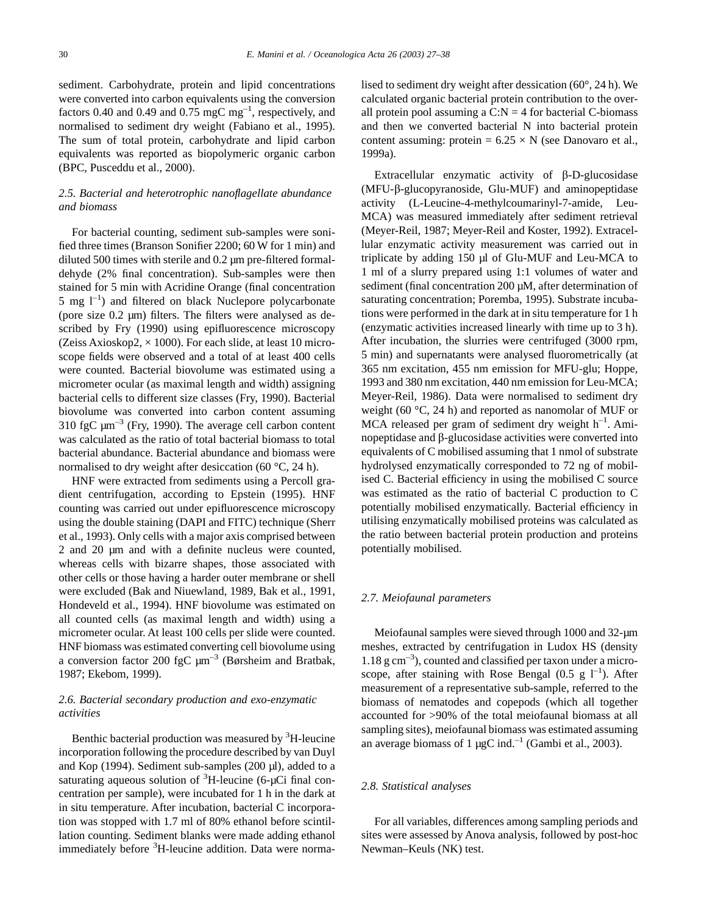sediment. Carbohydrate, protein and lipid concentrations were converted into carbon equivalents using the conversion factors 0.40 and 0.49 and 0.75 mgC mg<sup>-1</sup>, respectively, and normalised to sediment dry weight (Fabiano et al., 1995). The sum of total protein, carbohydrate and lipid carbon equivalents was reported as biopolymeric organic carbon (BPC, Pusceddu et al., 2000).

# *2.5. Bacterial and heterotrophic nanoflagellate abundance and biomass*

For bacterial counting, sediment sub-samples were sonified three times (Branson Sonifier 2200; 60 W for 1 min) and diluted 500 times with sterile and 0.2 µm pre-filtered formaldehyde (2% final concentration). Sub-samples were then stained for 5 min with Acridine Orange (final concentration  $5$  mg  $1^{-1}$ ) and filtered on black Nuclepore polycarbonate (pore size 0.2 µm) filters. The filters were analysed as described by Fry (1990) using epifluorescence microscopy (Zeiss Axioskop2,  $\times$  1000). For each slide, at least 10 microscope fields were observed and a total of at least 400 cells were counted. Bacterial biovolume was estimated using a micrometer ocular (as maximal length and width) assigning bacterial cells to different size classes (Fry, 1990). Bacterial biovolume was converted into carbon content assuming 310 fgC  $\mu$ m<sup>-3</sup> (Fry, 1990). The average cell carbon content was calculated as the ratio of total bacterial biomass to total bacterial abundance. Bacterial abundance and biomass were normalised to dry weight after desiccation (60 °C, 24 h).

HNF were extracted from sediments using a Percoll gradient centrifugation, according to Epstein (1995). HNF counting was carried out under epifluorescence microscopy using the double staining (DAPI and FITC) technique (Sherr et al., 1993). Only cells with a major axis comprised between 2 and 20 µm and with a definite nucleus were counted, whereas cells with bizarre shapes, those associated with other cells or those having a harder outer membrane or shell were excluded (Bak and Niuewland, 1989, Bak et al., 1991, Hondeveld et al., 1994). HNF biovolume was estimated on all counted cells (as maximal length and width) using a micrometer ocular. At least 100 cells per slide were counted. HNF biomass was estimated converting cell biovolume using a conversion factor 200 fgC  $\mu$ m<sup>-3</sup> (Børsheim and Bratbak, 1987; Ekebom, 1999).

# *2.6. Bacterial secondary production and exo-enzymatic activities*

Benthic bacterial production was measured by <sup>3</sup>H-leucine incorporation following the procedure described by van Duyl and Kop (1994). Sediment sub-samples (200 µl), added to a saturating aqueous solution of  ${}^{3}$ H-leucine (6-µCi final concentration per sample), were incubated for 1 h in the dark at in situ temperature. After incubation, bacterial C incorporation was stopped with 1.7 ml of 80% ethanol before scintillation counting. Sediment blanks were made adding ethanol immediately before <sup>3</sup>H-leucine addition. Data were normalised to sediment dry weight after dessication (60°, 24 h). We calculated organic bacterial protein contribution to the overall protein pool assuming a  $C:N = 4$  for bacterial C-biomass and then we converted bacterial N into bacterial protein content assuming: protein =  $6.25 \times N$  (see Danovaro et al., 1999a).

Extracellular enzymatic activity of  $\beta$ -D-glucosidase (MFU-b-glucopyranoside, Glu-MUF) and aminopeptidase activity (L-Leucine-4-methylcoumarinyl-7-amide, Leu-MCA) was measured immediately after sediment retrieval (Meyer-Reil, 1987; Meyer-Reil and Koster, 1992). Extracellular enzymatic activity measurement was carried out in triplicate by adding 150 µl of Glu-MUF and Leu-MCA to 1 ml of a slurry prepared using 1:1 volumes of water and sediment (final concentration 200 µM, after determination of saturating concentration; Poremba, 1995). Substrate incubations were performed in the dark at in situ temperature for 1 h (enzymatic activities increased linearly with time up to 3 h). After incubation, the slurries were centrifuged (3000 rpm, 5 min) and supernatants were analysed fluorometrically (at 365 nm excitation, 455 nm emission for MFU-glu; Hoppe, 1993 and 380 nm excitation, 440 nm emission for Leu-MCA; Meyer-Reil, 1986). Data were normalised to sediment dry weight (60 °C, 24 h) and reported as nanomolar of MUF or  $MCA$  released per gram of sediment dry weight  $h^{-1}$ . Aminopeptidase and  $\beta$ -glucosidase activities were converted into equivalents of C mobilised assuming that 1 nmol of substrate hydrolysed enzymatically corresponded to 72 ng of mobilised C. Bacterial efficiency in using the mobilised C source was estimated as the ratio of bacterial C production to C potentially mobilised enzymatically. Bacterial efficiency in utilising enzymatically mobilised proteins was calculated as the ratio between bacterial protein production and proteins potentially mobilised.

# *2.7. Meiofaunal parameters*

Meiofaunal samples were sieved through 1000 and 32-µm meshes, extracted by centrifugation in Ludox HS (density  $1.18$  g cm<sup>-3</sup>), counted and classified per taxon under a microscope, after staining with Rose Bengal (0.5 g  $I^{-1}$ ). After measurement of a representative sub-sample, referred to the biomass of nematodes and copepods (which all together accounted for >90% of the total meiofaunal biomass at all sampling sites), meiofaunal biomass was estimated assuming an average biomass of 1  $\mu$ gC ind.<sup>-1</sup> (Gambi et al., 2003).

## *2.8. Statistical analyses*

For all variables, differences among sampling periods and sites were assessed by Anova analysis, followed by post-hoc Newman–Keuls (NK) test.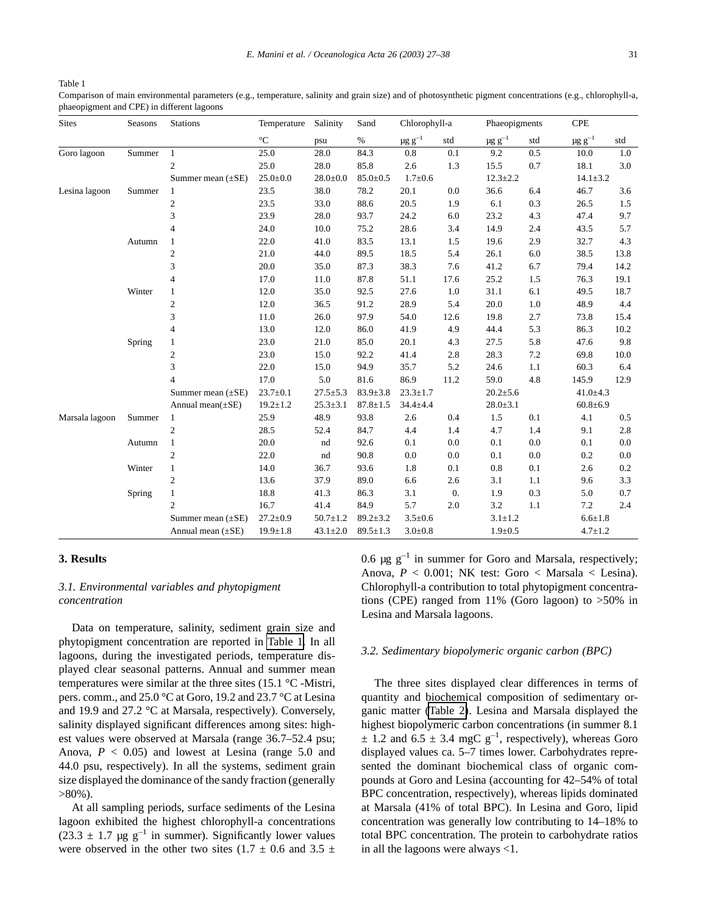Table 1

Comparison of main environmental parameters (e.g., temperature, salinity and grain size) and of photosynthetic pigment concentrations (e.g., chlorophyll-a, phaeopigment and CPE) in different lagoons

| <b>Sites</b>   | Seasons | <b>Stations</b>        | Temperature     | Salinity       | Sand           | Chlorophyll-a           |                  |                         | Phaeopigments  |                 |                |  |
|----------------|---------|------------------------|-----------------|----------------|----------------|-------------------------|------------------|-------------------------|----------------|-----------------|----------------|--|
|                |         |                        | $\rm ^{\circ}C$ | psu            | $\%$           | $\mu$ g g <sup>-1</sup> | std              | $\mu$ g g <sup>-1</sup> | std            | $\mu g\ g^{-1}$ | std            |  |
| Goro lagoon    | Summer  | 1                      | 25.0            | 28.0           | 84.3           | 0.8                     | 0.1              | 9.2                     | 0.5            | 10.0            | $1.0\,$        |  |
|                |         | $\overline{c}$         | 25.0            | 28.0           | 85.8           | 2.6                     | 1.3              | 15.5                    | 0.7            | 18.1            | 3.0            |  |
|                |         | Summer mean $(\pm SE)$ | $25.0 \pm 0.0$  | $28.0 + 0.0$   | $85.0 \pm 0.5$ | $1.7 \pm 0.6$           |                  |                         | $12.3 \pm 2.2$ |                 | $14.1 \pm 3.2$ |  |
| Lesina lagoon  | Summer  | $\mathbf{1}$           | 23.5            | 38.0           | 78.2           | 20.1                    | 0.0              | 36.6                    | 6.4            | 46.7            | 3.6            |  |
|                |         | $\overline{c}$         | 23.5            | 33.0           | 88.6           | 20.5                    | 1.9              | 6.1                     | 0.3            | 26.5            | 1.5            |  |
|                |         | 3                      | 23.9            | 28.0           | 93.7           | 24.2                    | 6.0              | 23.2                    | 4.3            | 47.4            | 9.7            |  |
|                |         | $\overline{4}$         | 24.0            | 10.0           | 75.2           | 28.6                    | 3.4              | 14.9                    | 2.4            | 43.5            | 5.7            |  |
|                | Autumn  |                        | 22.0            | 41.0           | 83.5           | 13.1                    | 1.5              | 19.6                    | 2.9            | 32.7            | 4.3            |  |
|                |         | 2                      | 21.0            | 44.0           | 89.5           | 18.5                    | 5.4              | 26.1                    | 6.0            | 38.5            | 13.8           |  |
|                |         | 3                      | 20.0            | 35.0           | 87.3           | 38.3                    | 7.6              | 41.2                    | 6.7            | 79.4            | 14.2           |  |
|                |         | $\overline{4}$         | 17.0            | 11.0           | 87.8           | 51.1                    | 17.6             | 25.2                    | 1.5            | 76.3            | 19.1           |  |
|                | Winter  | 1                      | 12.0            | 35.0           | 92.5           | 27.6                    | 1.0              | 31.1                    | 6.1            | 49.5            | 18.7           |  |
|                |         | $\mathfrak{2}$         | 12.0            | 36.5           | 91.2           | 28.9                    | 5.4              | 20.0                    | 1.0            | 48.9            | 4.4            |  |
|                |         | 3                      | 11.0            | 26.0           | 97.9           | 54.0                    | 12.6             | 19.8                    | 2.7            | 73.8            | 15.4           |  |
|                |         | $\overline{4}$         | 13.0            | 12.0           | 86.0           | 41.9                    | 4.9              | 44.4                    | 5.3            | 86.3            | 10.2           |  |
|                | Spring  |                        | 23.0            | 21.0           | 85.0           | 20.1                    | 4.3              | 27.5                    | 5.8            | 47.6            | 9.8            |  |
|                |         | 2                      | 23.0            | 15.0           | 92.2           | 41.4                    | 2.8              | 28.3                    | 7.2            | 69.8            | 10.0           |  |
|                |         | 3                      | 22.0            | 15.0           | 94.9           | 35.7                    | 5.2              | 24.6                    | 1.1            | 60.3            | 6.4            |  |
|                |         | 4                      | 17.0            | 5.0            | 81.6           | 86.9                    | 11.2             | 59.0                    | 4.8            | 145.9           | 12.9           |  |
|                |         | Summer mean $(\pm SE)$ | $23.7 \pm 0.1$  | $27.5 \pm 5.3$ | $83.9 \pm 3.8$ | $23.3 \pm 1.7$          |                  | $20.2{\pm}5.6$          |                | $41.0 + 4.3$    |                |  |
|                |         | Annual mean $(\pm SE)$ | $19.2 \pm 1.2$  | $25.3 \pm 3.1$ | $87.8 \pm 1.5$ | $34.4 + 4.4$            |                  | $28.0 \pm 3.1$          |                | $60.8{\pm}6.9$  |                |  |
| Marsala lagoon | Summer  | $\mathbf{1}$           | 25.9            | 48.9           | 93.8           | 2.6                     | 0.4              | 1.5                     | 0.1            | 4.1             | 0.5            |  |
|                |         | $\mathfrak{2}$         | 28.5            | 52.4           | 84.7           | 4.4                     | 1.4              | 4.7                     | 1.4            | 9.1             | 2.8            |  |
|                | Autumn  | $\mathbf{1}$           | 20.0            | nd             | 92.6           | 0.1                     | 0.0              | 0.1                     | 0.0            | 0.1             | 0.0            |  |
|                |         | $\mathbf{2}$           | 22.0            | nd             | 90.8           | $0.0\,$                 | 0.0              | 0.1                     | $0.0\,$        | 0.2             | 0.0            |  |
|                | Winter  | $\mathbf{1}$           | 14.0            | 36.7           | 93.6           | 1.8                     | 0.1              | 0.8                     | 0.1            | 2.6             | 0.2            |  |
|                |         | $\mathfrak{2}$         | 13.6            | 37.9           | 89.0           | 6.6                     | 2.6              | 3.1                     | 1.1            | 9.6             | 3.3            |  |
|                | Spring  | $\mathbf{1}$           | 18.8            | 41.3           | 86.3           | 3.1                     | $\overline{0}$ . | 1.9                     | 0.3            | 5.0             | 0.7            |  |
|                |         | 2                      | 16.7            | 41.4           | 84.9           | 5.7                     | 2.0              | 3.2                     | $1.1\,$        | $7.2\,$         | 2.4            |  |
|                |         | Summer mean $(\pm SE)$ | $27.2 \pm 0.9$  | $50.7 \pm 1.2$ | $89.2 \pm 3.2$ | $3.5 \pm 0.6$           |                  | $3.1 \pm 1.2$           |                | $6.6 \pm 1.8$   |                |  |
|                |         | Annual mean $(\pm SE)$ | $19.9 \pm 1.8$  | $43.1 \pm 2.0$ | $89.5 \pm 1.3$ | $3.0 \pm 0.8$           |                  | $1.9 \pm 0.5$           |                | $4.7 \pm 1.2$   |                |  |

## **3. Results**

# *3.1. Environmental variables and phytopigment concentration*

Data on temperature, salinity, sediment grain size and phytopigment concentration are reported in Table 1. In all lagoons, during the investigated periods, temperature displayed clear seasonal patterns. Annual and summer mean temperatures were similar at the three sites (15.1 °C -Mistri, pers. comm., and 25.0 °C at Goro, 19.2 and 23.7 °C at Lesina and 19.9 and 27.2 °C at Marsala, respectively). Conversely, salinity displayed significant differences among sites: highest values were observed at Marsala (range 36.7–52.4 psu; Anova,  $P < 0.05$ ) and lowest at Lesina (range 5.0 and 44.0 psu, respectively). In all the systems, sediment grain size displayed the dominance of the sandy fraction (generally  $>80\%$ ).

At all sampling periods, surface sediments of the Lesina lagoon exhibited the highest chlorophyll-a concentrations  $(23.3 \pm 1.7 \text{ µg g}^{-1})$  in summer). Significantly lower values were observed in the other two sites (1.7  $\pm$  0.6 and 3.5  $\pm$  0.6  $\mu$ g g<sup>-1</sup> in summer for Goro and Marsala, respectively; Anova,  $P < 0.001$ ; NK test: Goro  $<$  Marsala  $<$  Lesina). Chlorophyll-a contribution to total phytopigment concentrations (CPE) ranged from 11% (Goro lagoon) to >50% in Lesina and Marsala lagoons.

#### *3.2. Sedimentary biopolymeric organic carbon (BPC)*

The three sites displayed clear differences in terms of quantity and biochemical composition of sedimentary organic matter [\(Table 2\)](#page-5-0). Lesina and Marsala displayed the highest biopolymeric carbon concentrations (in summer 8.1  $\pm$  1.2 and 6.5  $\pm$  3.4 mgC g<sup>-1</sup>, respectively), whereas Goro displayed values ca. 5–7 times lower. Carbohydrates represented the dominant biochemical class of organic compounds at Goro and Lesina (accounting for 42–54% of total BPC concentration, respectively), whereas lipids dominated at Marsala (41% of total BPC). In Lesina and Goro, lipid concentration was generally low contributing to 14–18% to total BPC concentration. The protein to carbohydrate ratios in all the lagoons were always <1.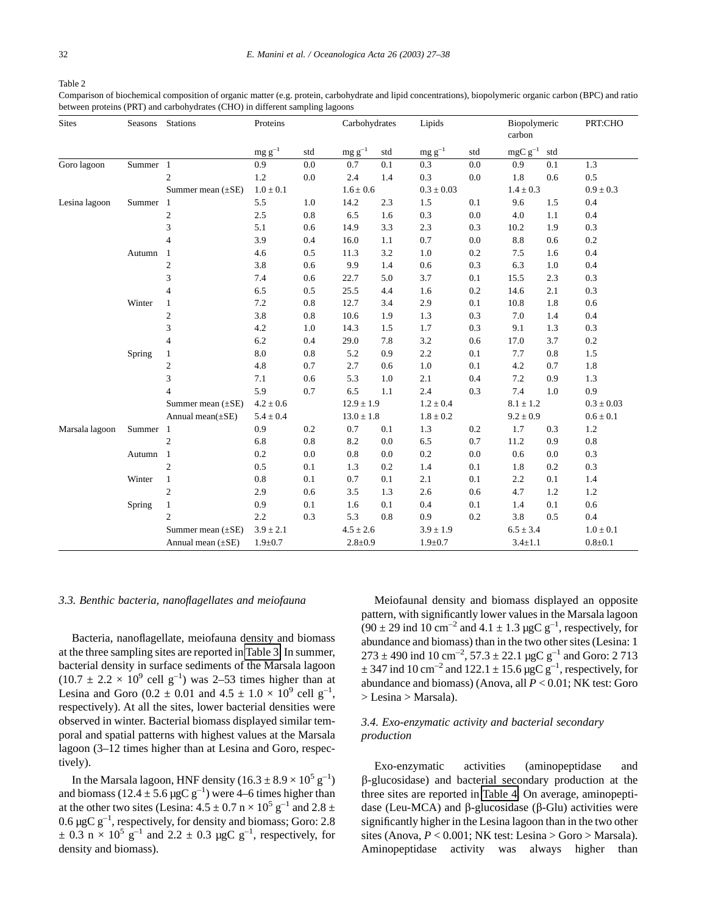#### <span id="page-5-0"></span>Table 2

Comparison of biochemical composition of organic matter (e.g. protein, carbohydrate and lipid concentrations), biopolymeric organic carbon (BPC) and ratio between proteins (PRT) and carbohydrates (CHO) in different sampling lagoons

| <b>Sites</b>   |          | Seasons Stations        | Proteins      |         | Carbohydrates              |               | Lipids        |              |               | Biopolymeric  | PRT:CHO        |
|----------------|----------|-------------------------|---------------|---------|----------------------------|---------------|---------------|--------------|---------------|---------------|----------------|
|                |          |                         | $mg g^{-1}$   | std     | $\mbox{mg}\,\mbox{g}^{-1}$ | std           | $mg g^{-1}$   | std          | $mgC g^{-1}$  | std           |                |
| Goro lagoon    | Summer 1 |                         | 0.9           | 0.0     | 0.7                        | 0.1           | 0.3           | $0.0\,$      | 0.9           | 0.1           | 1.3            |
|                |          | 2                       | 1.2           | 0.0     | 2.4                        | 1.4           | 0.3           | 0.0          | 1.8           | 0.6           | 0.5            |
|                |          | Summer mean $(\pm SE)$  | $1.0 \pm 0.1$ |         |                            | $1.6 \pm 0.6$ |               | $0.3\pm0.03$ |               | $1.4 \pm 0.3$ | $0.9 \pm 0.3$  |
| Lesina lagoon  | Summer 1 |                         | 5.5           | 1.0     | 14.2                       | 2.3           | 1.5           | 0.1          | 9.6           | 1.5           | 0.4            |
|                |          | $\overline{\mathbf{c}}$ | $2.5\,$       | $0.8\,$ | 6.5                        | 1.6           | 0.3           | $0.0\,$      | 4.0           | 1.1           | 0.4            |
|                |          | 3                       | 5.1           | 0.6     | 14.9                       | 3.3           | 2.3           | 0.3          | 10.2          | 1.9           | 0.3            |
|                |          | 4                       | 3.9           | 0.4     | 16.0                       | 1.1           | 0.7           | $0.0\,$      | 8.8           | 0.6           | $0.2\,$        |
|                | Autumn   | -1                      | 4.6           | 0.5     | 11.3                       | 3.2           | 1.0           | 0.2          | 7.5           | 1.6           | 0.4            |
|                |          | $\overline{c}$          | 3.8           | 0.6     | 9.9                        | 1.4           | 0.6           | 0.3          | 6.3           | 1.0           | 0.4            |
|                |          | 3                       | 7.4           | 0.6     | 22.7                       | 5.0           | 3.7           | 0.1          | 15.5          | 2.3           | 0.3            |
|                |          | 4                       | 6.5           | 0.5     | 25.5                       | 4.4           | 1.6           | 0.2          | 14.6          | 2.1           | 0.3            |
|                | Winter   | $\mathbf{1}$            | 7.2           | 0.8     | 12.7                       | 3.4           | 2.9           | 0.1          | 10.8          | 1.8           | $0.6\,$        |
|                |          | $\boldsymbol{2}$        | 3.8           | 0.8     | 10.6                       | 1.9           | 1.3           | 0.3          | 7.0           | 1.4           | 0.4            |
|                |          | 3                       | 4.2           | 1.0     | 14.3                       | 1.5           | 1.7           | 0.3          | 9.1           | 1.3           | 0.3            |
|                |          | 4                       | 6.2           | 0.4     | 29.0                       | 7.8           | 3.2           | 0.6          | 17.0          | 3.7           | 0.2            |
|                | Spring   | $\mathbf{1}$            | $8.0\,$       | 0.8     | 5.2                        | 0.9           | 2.2           | $0.1\,$      | 7.7           | 0.8           | 1.5            |
|                |          | 2                       | 4.8           | 0.7     | 2.7                        | 0.6           | 1.0           | 0.1          | 4.2           | 0.7           | 1.8            |
|                |          | 3                       | 7.1           | 0.6     | 5.3                        | 1.0           | 2.1           | 0.4          | 7.2           | 0.9           | 1.3            |
|                |          | 4                       | 5.9           | 0.7     | 6.5                        | 1.1           | $2.4\,$       | 0.3          | 7.4           | 1.0           | 0.9            |
|                |          | Summer mean $(\pm SE)$  | $4.2 \pm 0.6$ |         | $12.9 \pm 1.9$             |               | $1.2 \pm 0.4$ |              |               | $8.1\pm1.2$   | $0.3 \pm 0.03$ |
|                |          | Annual mean $(\pm SE)$  | $5.4 \pm 0.4$ |         | $13.0 \pm 1.8$             |               | $1.8 \pm 0.2$ |              |               | $9.2 \pm 0.9$ | $0.6 \pm 0.1$  |
| Marsala lagoon | Summer 1 |                         | 0.9           | 0.2     | 0.7                        | 0.1           | 1.3           | 0.2          | 1.7           | 0.3           | 1.2            |
|                |          | $\boldsymbol{2}$        | 6.8           | 0.8     | 8.2                        | 0.0           | 6.5           | 0.7          | 11.2          | 0.9           | 0.8            |
|                | Autumn 1 |                         | 0.2           | 0.0     | 0.8                        | 0.0           | 0.2           | 0.0          | 0.6           | 0.0           | 0.3            |
|                |          | $\overline{c}$          | $0.5\,$       | 0.1     | 1.3                        | 0.2           | 1.4           | 0.1          | 1.8           | 0.2           | 0.3            |
|                | Winter   | $\mathbf{1}$            | 0.8           | 0.1     | 0.7                        | 0.1           | 2.1           | 0.1          | 2.2           | 0.1           | 1.4            |
|                |          | $\overline{c}$          | 2.9           | 0.6     | 3.5                        | 1.3           | 2.6           | 0.6          | 4.7           | 1.2           | 1.2            |
|                | Spring   | 1                       | 0.9           | 0.1     | 1.6                        | 0.1           | 0.4           | 0.1          | 1.4           | 0.1           | 0.6            |
|                |          | $\overline{c}$          | 2.2           | 0.3     | 5.3                        | 0.8           | 0.9           | 0.2          | 3.8           | 0.5           | 0.4            |
|                |          | Summer mean $(\pm SE)$  | $3.9 \pm 2.1$ |         | $4.5 \pm 2.6$              |               | $3.9 \pm 1.9$ |              | $6.5 \pm 3.4$ |               | $1.0 \pm 0.1$  |
|                |          | Annual mean $(\pm SE)$  | $1.9 + 0.7$   |         | $2.8 \pm 0.9$              |               | $1.9 \pm 0.7$ |              | $3.4 \pm 1.1$ |               | $0.8 + 0.1$    |

#### *3.3. Benthic bacteria, nanoflagellates and meiofauna*

Bacteria, nanoflagellate, meiofauna density and biomass at the three sampling sites are reported in [Table 3.](#page-6-0) In summer, bacterial density in surface sediments of the Marsala lagoon  $(10.7 \pm 2.2 \times 10^9 \text{ cell g}^{-1})$  was 2-53 times higher than at Lesina and Goro (0.2  $\pm$  0.01 and 4.5  $\pm$  1.0  $\times$  10<sup>9</sup> cell g<sup>-1</sup>, respectively). At all the sites, lower bacterial densities were observed in winter. Bacterial biomass displayed similar temporal and spatial patterns with highest values at the Marsala lagoon (3–12 times higher than at Lesina and Goro, respectively).

In the Marsala lagoon, HNF density  $(16.3 \pm 8.9 \times 10^5 \text{ g}^{-1})$ and biomass ( $12.4 \pm 5.6 \,\mu gC\,g^{-1}$ ) were 4–6 times higher than at the other two sites (Lesina:  $4.5 \pm 0.7$  n  $\times$   $10^5$  g<sup>-1</sup> and  $2.8 \pm$ 0.6  $\mu$ gC g<sup>-1</sup>, respectively, for density and biomass; Goro: 2.8  $\pm$  0.3 n × 10<sup>5</sup> g<sup>-1</sup> and 2.2  $\pm$  0.3 µgC g<sup>-1</sup>, respectively, for density and biomass).

Meiofaunal density and biomass displayed an opposite pattern, with significantly lower values in the Marsala lagoon  $(90 \pm 29 \text{ ind } 10 \text{ cm}^{-2} \text{ and } 4.1 \pm 1.3 \text{ µgC g}^{-1}$ , respectively, for abundance and biomass) than in the two other sites (Lesina: 1  $273 \pm 490$  ind  $10 \text{ cm}^{-2}$ ,  $57.3 \pm 22.1 \text{ µgC g}^{-1}$  and Goro: 2 713  $\pm$  347 ind 10 cm<sup>-2</sup> and 122.1  $\pm$  15.6 µgC g<sup>-1</sup>, respectively, for abundance and biomass) (Anova, all *P* < 0.01; NK test: Goro > Lesina > Marsala).

# *3.4. Exo-enzymatic activity and bacterial secondary production*

Exo-enzymatic activities (aminopeptidase and b-glucosidase) and bacterial secondary production at the three sites are reported in [Table 4.](#page-7-0) On average, aminopeptidase (Leu-MCA) and  $\beta$ -glucosidase ( $\beta$ -Glu) activities were significantly higher in the Lesina lagoon than in the two other sites (Anova,  $P < 0.001$ ; NK test: Lesina > Goro > Marsala). Aminopeptidase activity was always higher than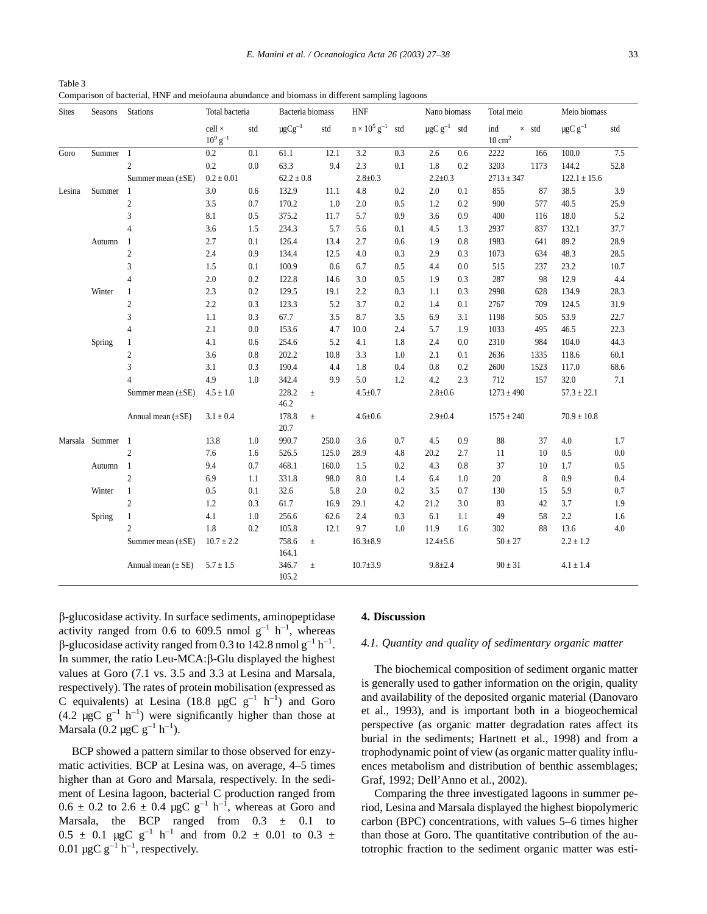<span id="page-6-0"></span>

| Table 3                                                                                        |  |
|------------------------------------------------------------------------------------------------|--|
| Comparison of bacterial, HNF and meiofauna abundance and biomass in different sampling lagoons |  |

| <b>Sites</b> | Seasons        | Stations               | Total bacteria                   |         | Bacteria biomass  |       | <b>HNF</b>                          |         |                              | Nano biomass |                          | Total meio   |                          | Meio biomass |  |
|--------------|----------------|------------------------|----------------------------------|---------|-------------------|-------|-------------------------------------|---------|------------------------------|--------------|--------------------------|--------------|--------------------------|--------------|--|
|              |                |                        | $cell \times$<br>$10^9$ $g^{-1}$ | std     | $\mu$ g $Cg^{-1}$ | std   | $n \times 10^5$ g <sup>-1</sup> std |         | $\mu$ gC g <sup>-1</sup> std |              | ind<br>$10 \text{ cm}^2$ | $\times$ std | $\mu$ gC g <sup>-1</sup> | std          |  |
| Goro         | Summer         | $\overline{1}$         | $0.2\,$                          | 0.1     | 61.1              | 12.1  | 3.2                                 | 0.3     | 2.6                          | 0.6          | 2222                     | 166          | 100.0                    | 7.5          |  |
|              |                | $\overline{c}$         | 0.2                              | 0.0     | 63.3              | 9.4   | 2.3                                 | 0.1     | 1.8                          | 0.2          | 3203                     | 1173         | 144.2                    | 52.8         |  |
|              |                | Summer mean $(\pm SE)$ | $0.2 \pm 0.01$                   |         | $62.2 \pm 0.8$    |       | $2.8 \pm 0.3$                       |         | $2.2 \pm 0.3$                |              | $2713 \pm 347$           |              | $122.1 \pm 15.6$         |              |  |
| Lesina       | Summer         | $\overline{1}$         | $3.0\,$                          | $0.6\,$ | 132.9             | 11.1  | $4.8\,$                             | 0.2     | $2.0\,$                      | 0.1          | 855                      | 87           | 38.5                     | 3.9          |  |
|              |                | $\boldsymbol{2}$       | $3.5\,$                          | $0.7\,$ | 170.2             | 1.0   | 2.0                                 | 0.5     | 1.2                          | 0.2          | 900                      | 577          | 40.5                     | 25.9         |  |
|              |                | 3                      | 8.1                              | 0.5     | 375.2             | 11.7  | 5.7                                 | 0.9     | 3.6                          | 0.9          | 400                      | 116          | 18.0                     | 5.2          |  |
|              |                | 4                      | 3.6                              | 1.5     | 234.3             | 5.7   | 5.6                                 | 0.1     | 4.5                          | 1.3          | 2937                     | 837          | 132.1                    | 37.7         |  |
|              | Autumn         | $\mathbf{1}$           | 2.7                              | 0.1     | 126.4             | 13.4  | 2.7                                 | 0.6     | 1.9                          | 0.8          | 1983                     | 641          | 89.2                     | 28.9         |  |
|              |                | $\boldsymbol{2}$       | 2.4                              | 0.9     | 134.4             | 12.5  | 4.0                                 | 0.3     | 2.9                          | 0.3          | 1073                     | 634          | 48.3                     | 28.5         |  |
|              |                | 3                      | 1.5                              | 0.1     | 100.9             | 0.6   | 6.7                                 | 0.5     | 4.4                          | 0.0          | 515                      | 237          | 23.2                     | 10.7         |  |
|              |                | $\overline{4}$         | 2.0                              | 0.2     | 122.8             | 14.6  | 3.0                                 | 0.5     | 1.9                          | 0.3          | 287                      | 98           | 12.9                     | 4.4          |  |
|              | Winter         | 1                      | 2.3                              | 0.2     | 129.5             | 19.1  | 2.2                                 | 0.3     | 1.1                          | 0.3          | 2998                     | 628          | 134.9                    | 28.3         |  |
|              |                | $\overline{c}$         | $2.2\,$                          | 0.3     | 123.3             | 5.2   | 3.7                                 | 0.2     | 1.4                          | 0.1          | 2767                     | 709          | 124.5                    | 31.9         |  |
|              |                | 3                      | $1.1\,$                          | 0.3     | 67.7              | 3.5   | 8.7                                 | $3.5\,$ | 6.9                          | 3.1          | 1198                     | 505          | 53.9                     | 22.7         |  |
|              |                | $\overline{4}$         | 2.1                              | 0.0     | 153.6             | 4.7   | 10.0                                | 2.4     | 5.7                          | 1.9          | 1033                     | 495          | 46.5                     | 22.3         |  |
|              | Spring         | $\mathbf{1}$           | 4.1                              | 0.6     | 254.6             | 5.2   | 4.1                                 | 1.8     | 2.4                          | 0.0          | 2310                     | 984          | 104.0                    | 44.3         |  |
|              |                | $\overline{c}$         | 3.6                              | $0.8\,$ | 202.2             | 10.8  | 3.3                                 | 1.0     | 2.1                          | 0.1          | 2636                     | 1335         | 118.6                    | 60.1         |  |
|              |                | 3                      | 3.1                              | 0.3     | 190.4             | 4.4   | 1.8                                 | 0.4     | 0.8                          | 0.2          | 2600                     | 1523         | 117.0                    | 68.6         |  |
|              |                | 4                      | 4.9                              | 1.0     | 342.4             | 9.9   | 5.0                                 | 1.2     | 4.2                          | 2.3          | 712                      | 157          | 32.0                     | 7.1          |  |
|              |                | Summer mean $(\pm SE)$ | $4.5 \pm 1.0$                    |         | 228.2<br>46.2     | $\pm$ | $4.5 \pm 0.7$                       |         | $2.8 + 0.6$                  |              | $1273 \pm 490$           |              | $57.3 \pm 22.1$          |              |  |
|              |                | Annual mean $(\pm SE)$ | $3.1 \pm 0.4$                    |         | 178.8<br>20.7     | $\pm$ | $4.6 \pm 0.6$                       |         | $2.9 \pm 0.4$                |              | $1575 \pm 240$           |              | $70.9 \pm 10.8$          |              |  |
|              | Marsala Summer | -1                     | 13.8                             | 1.0     | 990.7             | 250.0 | 3.6                                 | 0.7     | 4.5                          | 0.9          | 88                       | 37           | 4.0                      | 1.7          |  |
|              |                | $\sqrt{2}$             | 7.6                              | 1.6     | 526.5             | 125.0 | 28.9                                | 4.8     | 20.2                         | 2.7          | 11                       | $10\,$       | $0.5\,$                  | 0.0          |  |
|              | Autumn         | $\mathbf{1}$           | 9.4                              | 0.7     | 468.1             | 160.0 | 1.5                                 | 0.2     | 4.3                          | 0.8          | 37                       | 10           | 1.7                      | 0.5          |  |
|              |                | $\overline{c}$         | 6.9                              | 1.1     | 331.8             | 98.0  | 8.0                                 | 1.4     | 6.4                          | 1.0          | 20                       | $\,$ 8 $\,$  | $0.9\,$                  | 0.4          |  |
|              | Winter         | $\mathbf{1}$           | 0.5                              | 0.1     | 32.6              | 5.8   | 2.0                                 | 0.2     | 3.5                          | 0.7          | 130                      | 15           | 5.9                      | 0.7          |  |
|              |                | $\overline{c}$         | $1.2\,$                          | 0.3     | 61.7              | 16.9  | 29.1                                | 4.2     | 21.2                         | 3.0          | 83                       | 42           | 3.7                      | 1.9          |  |
|              | Spring         | $\mathbf{1}$           | 4.1                              | $1.0\,$ | 256.6             | 62.6  | 2.4                                 | 0.3     | 6.1                          | 1.1          | 49                       | 58           | 2.2                      | 1.6          |  |
|              |                | $\overline{c}$         | 1.8                              | 0.2     | 105.8             | 12.1  | 9.7                                 | 1.0     | 11.9                         | 1.6          | 302                      | 88           | 13.6                     | 4.0          |  |
|              |                | Summer mean $(\pm SE)$ | $10.7 \pm 2.2$                   |         | 758.6<br>164.1    | $\pm$ | $16.3 \pm 8.9$                      |         | $12.4 \pm 5.6$               |              | $50 \pm 27$              |              | $2.2 \pm 1.2$            |              |  |
|              |                | Annual mean $(\pm SE)$ | $5.7 \pm 1.5$                    |         | 346.7<br>105.2    | $\pm$ | $10.7 \pm 3.9$                      |         | $9.8 \pm 2.4$                |              | $90 \pm 31$              |              | $4.1 \pm 1.4$            |              |  |

b-glucosidase activity. In surface sediments, aminopeptidase activity ranged from 0.6 to 609.5 nmol  $g^{-1}$  h<sup>-1</sup>, whereas  $\beta$ -glucosidase activity ranged from 0.3 to 142.8 nmol g<sup>-1</sup> h<sup>-1</sup>. In summer, the ratio Leu-MCA: $\beta$ -Glu displayed the highest values at Goro (7.1 vs. 3.5 and 3.3 at Lesina and Marsala, respectively). The rates of protein mobilisation (expressed as C equivalents) at Lesina (18.8  $\mu$ gC g<sup>-1</sup> h<sup>-1</sup>) and Goro  $(4.2 \mu g C g^{-1} h^{-1})$  were significantly higher than those at Marsala (0.2  $\mu$ gC g<sup>-1</sup> h<sup>-1</sup>).

BCP showed a pattern similar to those observed for enzymatic activities. BCP at Lesina was, on average, 4–5 times higher than at Goro and Marsala, respectively. In the sediment of Lesina lagoon, bacterial C production ranged from  $0.6 \pm 0.2$  to  $2.6 \pm 0.4$  µgC g<sup>-1</sup> h<sup>-1</sup>, whereas at Goro and Marsala, the BCP ranged from  $0.3 \pm 0.1$  to  $0.5 \pm 0.1$  µgC g<sup>-1</sup> h<sup>-1</sup> and from  $0.2 \pm 0.01$  to  $0.3 \pm 1.1$ 0.01  $\mu$ gC g<sup>-1</sup> h<sup>-1</sup>, respectively.

# **4. Discussion**

#### *4.1. Quantity and quality of sedimentary organic matter*

The biochemical composition of sediment organic matter is generally used to gather information on the origin, quality and availability of the deposited organic material (Danovaro et al., 1993), and is important both in a biogeochemical perspective (as organic matter degradation rates affect its burial in the sediments; Hartnett et al., 1998) and from a trophodynamic point of view (as organic matter quality influences metabolism and distribution of benthic assemblages; Graf, 1992; Dell'Anno et al., 2002).

Comparing the three investigated lagoons in summer period, Lesina and Marsala displayed the highest biopolymeric carbon (BPC) concentrations, with values 5–6 times higher than those at Goro. The quantitative contribution of the autotrophic fraction to the sediment organic matter was esti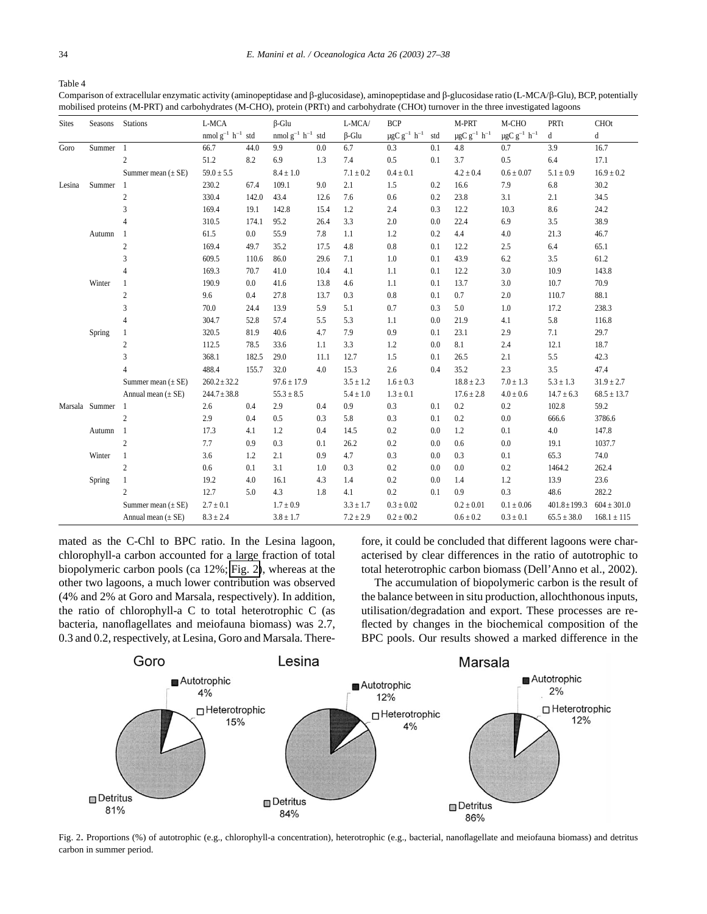<span id="page-7-0"></span>Table 4

Comparison of extracellular enzymatic activity (aminopeptidase and  $\beta$ -glucosidase), aminopeptidase and  $\beta$ -glucosidase ratio (L-MCA/ $\beta$ -Glu), BCP, potentially mobilised proteins (M-PRT) and carbohydrates (M-CHO), protein (PRTt) and carbohydrate (CHOt) turnover in the three investigated lagoons

| <b>Sites</b> | Seasons        | <b>Stations</b>        | L-MCA                      |       | $\beta$ -Glu               |      | L-MCA/        | <b>BCP</b>                                       |     | M-PRT                                     | M-CHO                                     | PRTt              | CHOt            |
|--------------|----------------|------------------------|----------------------------|-------|----------------------------|------|---------------|--------------------------------------------------|-----|-------------------------------------------|-------------------------------------------|-------------------|-----------------|
|              |                |                        | nmol $g^{-1}$ $h^{-1}$ std |       | nmol $g^{-1}$ $h^{-1}$ std |      | $\beta$ -Glu  | $\mu\text{gC}$ $\text{g}^{-1}$ $\,\text{h}^{-1}$ | std | $\mu\text{gC}$ $\text{g}^{-1}$ $\,h^{-1}$ | $\mu\text{gC}$ $\text{g}^{-1}$ $\,h^{-1}$ | d                 | d               |
| Goro         | Summer         | $\overline{1}$         | 66.7                       | 44.0  | 9.9                        | 0.0  | 6.7           | 0.3                                              | 0.1 | 4.8                                       | 0.7                                       | 3.9               | 16.7            |
|              |                | $\overline{2}$         | 51.2                       | 8.2   | 6.9                        | 1.3  | 7.4           | 0.5                                              | 0.1 | 3.7                                       | 0.5                                       | 6.4               | 17.1            |
|              |                | Summer mean $(\pm SE)$ | $59.0 \pm 5.5$             |       | $8.4 \pm 1.0$              |      | $7.1 \pm 0.2$ | $0.4 \pm 0.1$                                    |     | $4.2 \pm 0.4$                             | $0.6 \pm 0.07$                            | $5.1 \pm 0.9$     | $16.9 \pm 0.2$  |
| Lesina       | Summer         |                        | 230.2                      | 67.4  | 109.1                      | 9.0  | 2.1           | 1.5                                              | 0.2 | 16.6                                      | 7.9                                       | 6.8               | 30.2            |
|              |                | $\sqrt{2}$             | 330.4                      | 142.0 | 43.4                       | 12.6 | 7.6           | 0.6                                              | 0.2 | 23.8                                      | 3.1                                       | 2.1               | 34.5            |
|              |                | 3                      | 169.4                      | 19.1  | 142.8                      | 15.4 | 1.2           | 2.4                                              | 0.3 | 12.2                                      | 10.3                                      | 8.6               | 24.2            |
|              |                | $\overline{4}$         | 310.5                      | 174.1 | 95.2                       | 26.4 | 3.3           | 2.0                                              | 0.0 | 22.4                                      | 6.9                                       | $3.5\,$           | 38.9            |
|              | Autumn         |                        | 61.5                       | 0.0   | 55.9                       | 7.8  | 1.1           | 1.2                                              | 0.2 | 4.4                                       | 4.0                                       | 21.3              | 46.7            |
|              |                | $\sqrt{2}$             | 169.4                      | 49.7  | 35.2                       | 17.5 | 4.8           | 0.8                                              | 0.1 | 12.2                                      | 2.5                                       | 6.4               | 65.1            |
|              |                | 3                      | 609.5                      | 110.6 | 86.0                       | 29.6 | 7.1           | 1.0                                              | 0.1 | 43.9                                      | 6.2                                       | 3.5               | 61.2            |
|              |                | $\overline{4}$         | 169.3                      | 70.7  | 41.0                       | 10.4 | 4.1           | 1.1                                              | 0.1 | 12.2                                      | 3.0                                       | 10.9              | 143.8           |
|              | Winter         |                        | 190.9                      | 0.0   | 41.6                       | 13.8 | 4.6           | 1.1                                              | 0.1 | 13.7                                      | $3.0\,$                                   | 10.7              | 70.9            |
|              |                | $\overline{2}$         | 9.6                        | 0.4   | 27.8                       | 13.7 | 0.3           | 0.8                                              | 0.1 | 0.7                                       | $2.0\,$                                   | 110.7             | 88.1            |
|              |                | 3                      | 70.0                       | 24.4  | 13.9                       | 5.9  | 5.1           | 0.7                                              | 0.3 | 5.0                                       | $1.0\,$                                   | 17.2              | 238.3           |
|              |                | $\overline{4}$         | 304.7                      | 52.8  | 57.4                       | 5.5  | 5.3           | 1.1                                              | 0.0 | 21.9                                      | 4.1                                       | $5.8\,$           | 116.8           |
|              | Spring         |                        | 320.5                      | 81.9  | 40.6                       | 4.7  | 7.9           | 0.9                                              | 0.1 | 23.1                                      | 2.9                                       | 7.1               | 29.7            |
|              |                | $\boldsymbol{2}$       | 112.5                      | 78.5  | 33.6                       | 1.1  | 3.3           | 1.2                                              | 0.0 | 8.1                                       | 2.4                                       | 12.1              | 18.7            |
|              |                | 3                      | 368.1                      | 182.5 | 29.0                       | 11.1 | 12.7          | 1.5                                              | 0.1 | 26.5                                      | 2.1                                       | 5.5               | 42.3            |
|              |                | $\overline{4}$         | 488.4                      | 155.7 | 32.0                       | 4.0  | 15.3          | 2.6                                              | 0.4 | 35.2                                      | 2.3                                       | 3.5               | 47.4            |
|              |                | Summer mean $(\pm SE)$ | $260.2 \pm 32.2$           |       | $97.6 \pm 17.9$            |      | $3.5 \pm 1.2$ | $1.6 \pm 0.3$                                    |     | $18.8 \pm 2.3$                            | $7.0 \pm 1.3$                             | $5.3 \pm 1.3$     | $31.9 \pm 2.7$  |
|              |                | Annual mean $(\pm SE)$ | $244.7 \pm 38.8$           |       | $55.3 \pm 8.5$             |      | $5.4 \pm 1.0$ | $1.3 \pm 0.1$                                    |     | $17.6 \pm 2.8$                            | $4.0 \pm 0.6$                             | $14.7 \pm 6.3$    | $68.5 \pm 13.7$ |
|              | Marsala Summer |                        | 2.6                        | 0.4   | 2.9                        | 0.4  | 0.9           | 0.3                                              | 0.1 | 0.2                                       | 0.2                                       | 102.8             | 59.2            |
|              |                | $\overline{2}$         | 2.9                        | 0.4   | 0.5                        | 0.3  | 5.8           | 0.3                                              | 0.1 | 0.2                                       | $0.0\,$                                   | 666.6             | 3786.6          |
|              | Autumn 1       |                        | 17.3                       | 4.1   | 1.2                        | 0.4  | 14.5          | 0.2                                              | 0.0 | 1.2                                       | 0.1                                       | 4.0               | 147.8           |
|              |                | $\overline{c}$         | 7.7                        | 0.9   | 0.3                        | 0.1  | 26.2          | 0.2                                              | 0.0 | 0.6                                       | 0.0                                       | 19.1              | 1037.7          |
|              | Winter         | $\mathbf{1}$           | 3.6                        | 1.2   | 2.1                        | 0.9  | 4.7           | 0.3                                              | 0.0 | 0.3                                       | 0.1                                       | 65.3              | 74.0            |
|              |                | $\overline{2}$         | 0.6                        | 0.1   | 3.1                        | 1.0  | 0.3           | 0.2                                              | 0.0 | 0.0                                       | 0.2                                       | 1464.2            | 262.4           |
|              | Spring         |                        | 19.2                       | 4.0   | 16.1                       | 4.3  | 1.4           | 0.2                                              | 0.0 | 1.4                                       | 1.2                                       | 13.9              | 23.6            |
|              |                | $\overline{2}$         | 12.7                       | 5.0   | 4.3                        | 1.8  | 4.1           | 0.2                                              | 0.1 | 0.9                                       | 0.3                                       | 48.6              | 282.2           |
|              |                | Summer mean $(\pm SE)$ | $2.7 \pm 0.1$              |       | $1.7 \pm 0.9$              |      | $3.3 \pm 1.7$ | $0.3\pm0.02$                                     |     | $0.2 \pm 0.01$                            | $0.1 \pm 0.06$                            | $401.8 \pm 199.3$ | $604 \pm 301.0$ |
|              |                | Annual mean $(\pm SE)$ | $8.3 \pm 2.4$              |       | $3.8 \pm 1.7$              |      | $7.2 \pm 2.9$ | $0.2 \pm 00.2$                                   |     | $0.6 \pm 0.2$                             | $0.3 \pm 0.1$                             | $65.5 \pm 38.0$   | $168.1 \pm 115$ |

mated as the C-Chl to BPC ratio. In the Lesina lagoon, chlorophyll-a carbon accounted for a large fraction of total biopolymeric carbon pools (ca 12%; Fig. 2), whereas at the other two lagoons, a much lower contribution was observed (4% and 2% at Goro and Marsala, respectively). In addition, the ratio of chlorophyll-a C to total heterotrophic C (as bacteria, nanoflagellates and meiofauna biomass) was 2.7, 0.3 and 0.2, respectively, at Lesina, Goro and Marsala. Therefore, it could be concluded that different lagoons were characterised by clear differences in the ratio of autotrophic to total heterotrophic carbon biomass (Dell'Anno et al., 2002).

The accumulation of biopolymeric carbon is the result of the balance between in situ production, allochthonous inputs, utilisation/degradation and export. These processes are reflected by changes in the biochemical composition of the BPC pools. Our results showed a marked difference in the



Fig. 2. Proportions (%) of autotrophic (e.g., chlorophyll-a concentration), heterotrophic (e.g., bacterial, nanoflagellate and meiofauna biomass) and detritus carbon in summer period.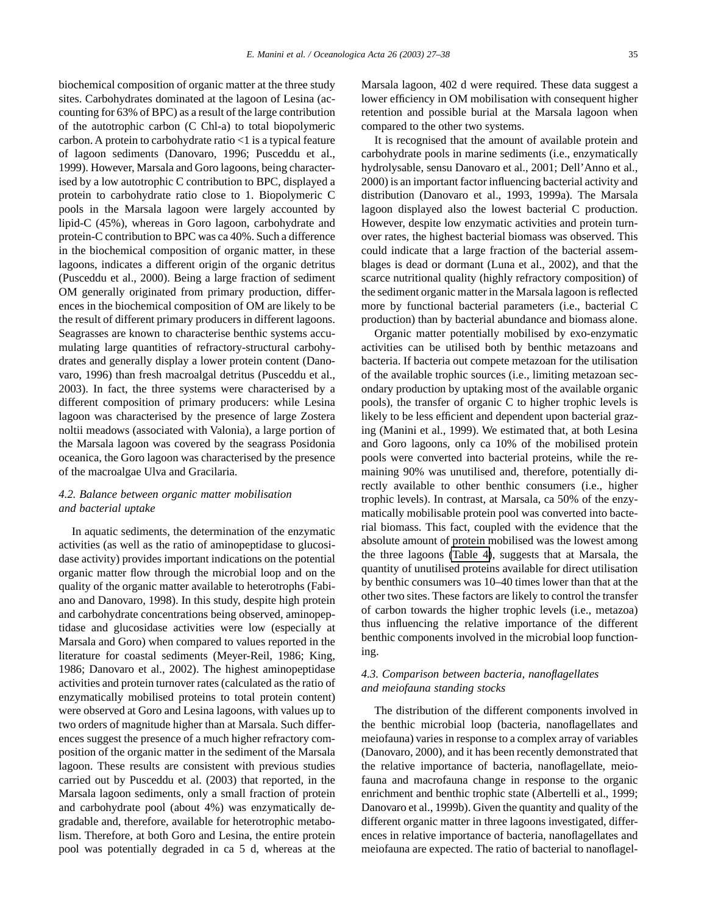biochemical composition of organic matter at the three study sites. Carbohydrates dominated at the lagoon of Lesina (accounting for 63% of BPC) as a result of the large contribution of the autotrophic carbon (C Chl-a) to total biopolymeric carbon. A protein to carbohydrate ratio <1 is a typical feature of lagoon sediments (Danovaro, 1996; Pusceddu et al., 1999). However, Marsala and Goro lagoons, being characterised by a low autotrophic C contribution to BPC, displayed a protein to carbohydrate ratio close to 1. Biopolymeric C pools in the Marsala lagoon were largely accounted by lipid-C (45%), whereas in Goro lagoon, carbohydrate and protein-C contribution to BPC was ca 40%. Such a difference in the biochemical composition of organic matter, in these lagoons, indicates a different origin of the organic detritus (Pusceddu et al., 2000). Being a large fraction of sediment OM generally originated from primary production, differences in the biochemical composition of OM are likely to be the result of different primary producers in different lagoons. Seagrasses are known to characterise benthic systems accumulating large quantities of refractory-structural carbohydrates and generally display a lower protein content (Danovaro, 1996) than fresh macroalgal detritus (Pusceddu et al., 2003). In fact, the three systems were characterised by a different composition of primary producers: while Lesina lagoon was characterised by the presence of large Zostera noltii meadows (associated with Valonia), a large portion of the Marsala lagoon was covered by the seagrass Posidonia oceanica, the Goro lagoon was characterised by the presence of the macroalgae Ulva and Gracilaria.

# *4.2. Balance between organic matter mobilisation and bacterial uptake*

In aquatic sediments, the determination of the enzymatic activities (as well as the ratio of aminopeptidase to glucosidase activity) provides important indications on the potential organic matter flow through the microbial loop and on the quality of the organic matter available to heterotrophs (Fabiano and Danovaro, 1998). In this study, despite high protein and carbohydrate concentrations being observed, aminopeptidase and glucosidase activities were low (especially at Marsala and Goro) when compared to values reported in the literature for coastal sediments (Meyer-Reil, 1986; King, 1986; Danovaro et al., 2002). The highest aminopeptidase activities and protein turnover rates (calculated as the ratio of enzymatically mobilised proteins to total protein content) were observed at Goro and Lesina lagoons, with values up to two orders of magnitude higher than at Marsala. Such differences suggest the presence of a much higher refractory composition of the organic matter in the sediment of the Marsala lagoon. These results are consistent with previous studies carried out by Pusceddu et al. (2003) that reported, in the Marsala lagoon sediments, only a small fraction of protein and carbohydrate pool (about 4%) was enzymatically degradable and, therefore, available for heterotrophic metabolism. Therefore, at both Goro and Lesina, the entire protein pool was potentially degraded in ca 5 d, whereas at the Marsala lagoon, 402 d were required. These data suggest a lower efficiency in OM mobilisation with consequent higher retention and possible burial at the Marsala lagoon when compared to the other two systems.

It is recognised that the amount of available protein and carbohydrate pools in marine sediments (i.e., enzymatically hydrolysable, sensu Danovaro et al., 2001; Dell'Anno et al., 2000) is an important factor influencing bacterial activity and distribution (Danovaro et al., 1993, 1999a). The Marsala lagoon displayed also the lowest bacterial C production. However, despite low enzymatic activities and protein turnover rates, the highest bacterial biomass was observed. This could indicate that a large fraction of the bacterial assemblages is dead or dormant (Luna et al., 2002), and that the scarce nutritional quality (highly refractory composition) of the sediment organic matter in the Marsala lagoon is reflected more by functional bacterial parameters (i.e., bacterial C production) than by bacterial abundance and biomass alone.

Organic matter potentially mobilised by exo-enzymatic activities can be utilised both by benthic metazoans and bacteria. If bacteria out compete metazoan for the utilisation of the available trophic sources (i.e., limiting metazoan secondary production by uptaking most of the available organic pools), the transfer of organic C to higher trophic levels is likely to be less efficient and dependent upon bacterial grazing (Manini et al., 1999). We estimated that, at both Lesina and Goro lagoons, only ca 10% of the mobilised protein pools were converted into bacterial proteins, while the remaining 90% was unutilised and, therefore, potentially directly available to other benthic consumers (i.e., higher trophic levels). In contrast, at Marsala, ca 50% of the enzymatically mobilisable protein pool was converted into bacterial biomass. This fact, coupled with the evidence that the absolute amount of protein mobilised was the lowest among the three lagoons [\(Table 4\)](#page-7-0), suggests that at Marsala, the quantity of unutilised proteins available for direct utilisation by benthic consumers was 10–40 times lower than that at the other two sites. These factors are likely to control the transfer of carbon towards the higher trophic levels (i.e., metazoa) thus influencing the relative importance of the different benthic components involved in the microbial loop functioning.

# *4.3. Comparison between bacteria, nanoflagellates and meiofauna standing stocks*

The distribution of the different components involved in the benthic microbial loop (bacteria, nanoflagellates and meiofauna) varies in response to a complex array of variables (Danovaro, 2000), and it has been recently demonstrated that the relative importance of bacteria, nanoflagellate, meiofauna and macrofauna change in response to the organic enrichment and benthic trophic state (Albertelli et al., 1999; Danovaro et al., 1999b). Given the quantity and quality of the different organic matter in three lagoons investigated, differences in relative importance of bacteria, nanoflagellates and meiofauna are expected. The ratio of bacterial to nanoflagel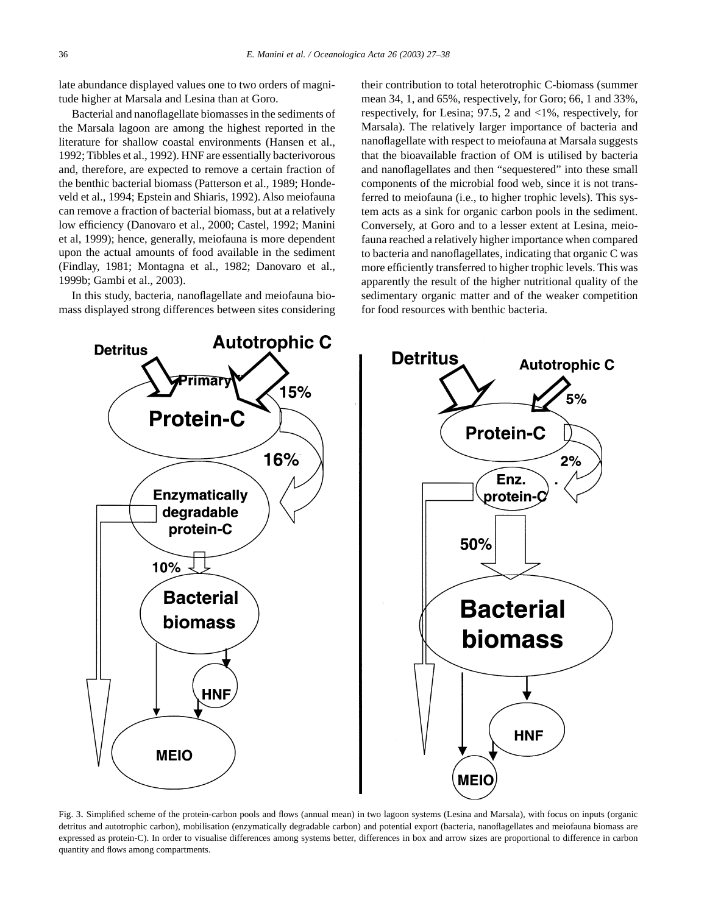<span id="page-9-0"></span>late abundance displayed values one to two orders of magnitude higher at Marsala and Lesina than at Goro.

Bacterial and nanoflagellate biomasses in the sediments of the Marsala lagoon are among the highest reported in the literature for shallow coastal environments (Hansen et al., 1992; Tibbles et al., 1992). HNF are essentially bacterivorous and, therefore, are expected to remove a certain fraction of the benthic bacterial biomass (Patterson et al., 1989; Hondeveld et al., 1994; Epstein and Shiaris, 1992). Also meiofauna can remove a fraction of bacterial biomass, but at a relatively low efficiency (Danovaro et al., 2000; Castel, 1992; Manini et al, 1999); hence, generally, meiofauna is more dependent upon the actual amounts of food available in the sediment (Findlay, 1981; Montagna et al., 1982; Danovaro et al., 1999b; Gambi et al., 2003).

In this study, bacteria, nanoflagellate and meiofauna biomass displayed strong differences between sites considering their contribution to total heterotrophic C-biomass (summer mean 34, 1, and 65%, respectively, for Goro; 66, 1 and 33%, respectively, for Lesina; 97.5, 2 and <1%, respectively, for Marsala). The relatively larger importance of bacteria and nanoflagellate with respect to meiofauna at Marsala suggests that the bioavailable fraction of OM is utilised by bacteria and nanoflagellates and then "sequestered" into these small components of the microbial food web, since it is not transferred to meiofauna (i.e., to higher trophic levels). This system acts as a sink for organic carbon pools in the sediment. Conversely, at Goro and to a lesser extent at Lesina, meiofauna reached a relatively higher importance when compared to bacteria and nanoflagellates, indicating that organic C was more efficiently transferred to higher trophic levels. This was apparently the result of the higher nutritional quality of the sedimentary organic matter and of the weaker competition for food resources with benthic bacteria.



Fig. 3. Simplified scheme of the protein-carbon pools and flows (annual mean) in two lagoon systems (Lesina and Marsala), with focus on inputs (organic detritus and autotrophic carbon), mobilisation (enzymatically degradable carbon) and potential export (bacteria, nanoflagellates and meiofauna biomass are expressed as protein-C). In order to visualise differences among systems better, differences in box and arrow sizes are proportional to difference in carbon quantity and flows among compartments.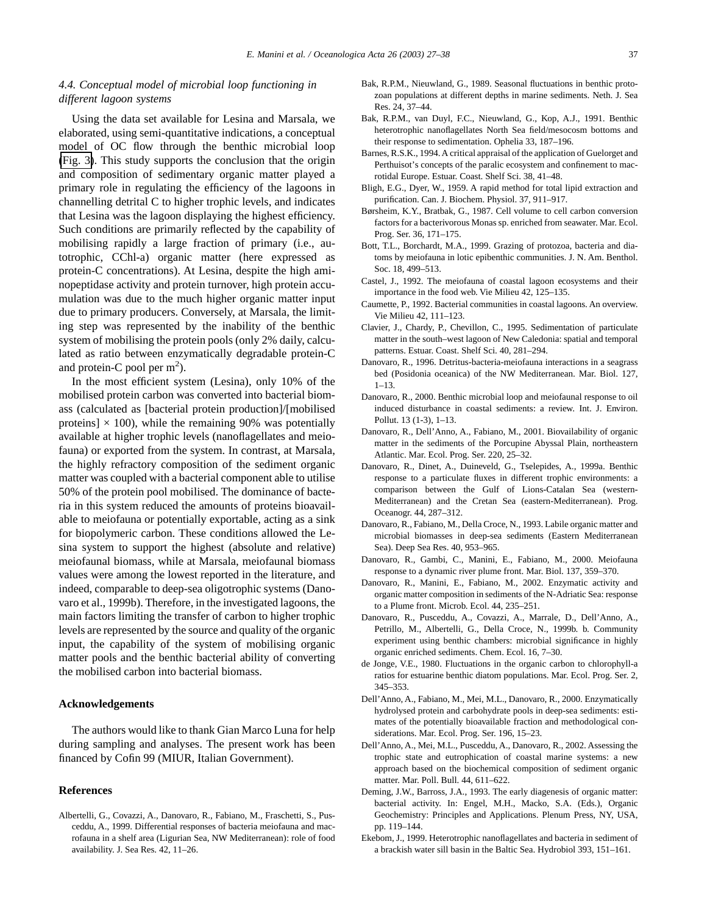# *4.4. Conceptual model of microbial loop functioning in different lagoon systems*

Using the data set available for Lesina and Marsala, we elaborated, using semi-quantitative indications, a conceptual model of OC flow through the benthic microbial loop [\(Fig. 3\)](#page-9-0). This study supports the conclusion that the origin and composition of sedimentary organic matter played a primary role in regulating the efficiency of the lagoons in channelling detrital C to higher trophic levels, and indicates that Lesina was the lagoon displaying the highest efficiency. Such conditions are primarily reflected by the capability of mobilising rapidly a large fraction of primary (i.e., autotrophic, CChl-a) organic matter (here expressed as protein-C concentrations). At Lesina, despite the high aminopeptidase activity and protein turnover, high protein accumulation was due to the much higher organic matter input due to primary producers. Conversely, at Marsala, the limiting step was represented by the inability of the benthic system of mobilising the protein pools (only 2% daily, calculated as ratio between enzymatically degradable protein-C and protein-C pool per  $m^2$ ).

In the most efficient system (Lesina), only 10% of the mobilised protein carbon was converted into bacterial biomass (calculated as [bacterial protein production]/[mobilised proteins]  $\times$  100), while the remaining 90% was potentially available at higher trophic levels (nanoflagellates and meiofauna) or exported from the system. In contrast, at Marsala, the highly refractory composition of the sediment organic matter was coupled with a bacterial component able to utilise 50% of the protein pool mobilised. The dominance of bacteria in this system reduced the amounts of proteins bioavailable to meiofauna or potentially exportable, acting as a sink for biopolymeric carbon. These conditions allowed the Lesina system to support the highest (absolute and relative) meiofaunal biomass, while at Marsala, meiofaunal biomass values were among the lowest reported in the literature, and indeed, comparable to deep-sea oligotrophic systems (Danovaro et al., 1999b). Therefore, in the investigated lagoons, the main factors limiting the transfer of carbon to higher trophic levels are represented by the source and quality of the organic input, the capability of the system of mobilising organic matter pools and the benthic bacterial ability of converting the mobilised carbon into bacterial biomass.

# **Acknowledgements**

The authors would like to thank Gian Marco Luna for help during sampling and analyses. The present work has been financed by Cofin 99 (MIUR, Italian Government).

#### **References**

Albertelli, G., Covazzi, A., Danovaro, R., Fabiano, M., Fraschetti, S., Pusceddu, A., 1999. Differential responses of bacteria meiofauna and macrofauna in a shelf area (Ligurian Sea, NW Mediterranean): role of food availability. J. Sea Res. 42, 11–26.

- Bak, R.P.M., Nieuwland, G., 1989. Seasonal fluctuations in benthic protozoan populations at different depths in marine sediments. Neth. J. Sea Res. 24, 37–44.
- Bak, R.P.M., van Duyl, F.C., Nieuwland, G., Kop, A.J., 1991. Benthic heterotrophic nanoflagellates North Sea field/mesocosm bottoms and their response to sedimentation. Ophelia 33, 187–196.
- Barnes, R.S.K., 1994. A critical appraisal of the application of Guelorget and Perthuisot's concepts of the paralic ecosystem and confinement to macrotidal Europe. Estuar. Coast. Shelf Sci. 38, 41–48.
- Bligh, E.G., Dyer, W., 1959. A rapid method for total lipid extraction and purification. Can. J. Biochem. Physiol. 37, 911–917.
- Børsheim, K.Y., Bratbak, G., 1987. Cell volume to cell carbon conversion factors for a bacterivorous Monas sp. enriched from seawater. Mar. Ecol. Prog. Ser. 36, 171–175.
- Bott, T.L., Borchardt, M.A., 1999. Grazing of protozoa, bacteria and diatoms by meiofauna in lotic epibenthic communities. J. N. Am. Benthol. Soc. 18, 499–513.
- Castel, J., 1992. The meiofauna of coastal lagoon ecosystems and their importance in the food web. Vie Milieu 42, 125–135.
- Caumette, P., 1992. Bacterial communities in coastal lagoons. An overview. Vie Milieu 42, 111–123.
- Clavier, J., Chardy, P., Chevillon, C., 1995. Sedimentation of particulate matter in the south–west lagoon of New Caledonia: spatial and temporal patterns. Estuar. Coast. Shelf Sci. 40, 281–294.
- Danovaro, R., 1996. Detritus-bacteria-meiofauna interactions in a seagrass bed (Posidonia oceanica) of the NW Mediterranean. Mar. Biol. 127, 1–13.
- Danovaro, R., 2000. Benthic microbial loop and meiofaunal response to oil induced disturbance in coastal sediments: a review. Int. J. Environ. Pollut. 13 (1-3), 1–13.
- Danovaro, R., Dell'Anno, A., Fabiano, M., 2001. Biovailability of organic matter in the sediments of the Porcupine Abyssal Plain, northeastern Atlantic. Mar. Ecol. Prog. Ser. 220, 25–32.
- Danovaro, R., Dinet, A., Duineveld, G., Tselepides, A., 1999a. Benthic response to a particulate fluxes in different trophic environments: a comparison between the Gulf of Lions-Catalan Sea (western-Mediterranean) and the Cretan Sea (eastern-Mediterranean). Prog. Oceanogr. 44, 287–312.
- Danovaro, R., Fabiano, M., Della Croce, N., 1993. Labile organic matter and microbial biomasses in deep-sea sediments (Eastern Mediterranean Sea). Deep Sea Res. 40, 953–965.
- Danovaro, R., Gambi, C., Manini, E., Fabiano, M., 2000. Meiofauna response to a dynamic river plume front. Mar. Biol. 137, 359–370.
- Danovaro, R., Manini, E., Fabiano, M., 2002. Enzymatic activity and organic matter composition in sediments of the N-Adriatic Sea: response to a Plume front. Microb. Ecol. 44, 235–251.
- Danovaro, R., Pusceddu, A., Covazzi, A., Marrale, D., Dell'Anno, A., Petrillo, M., Albertelli, G., Della Croce, N., 1999b. b. Community experiment using benthic chambers: microbial significance in highly organic enriched sediments. Chem. Ecol. 16, 7–30.
- de Jonge, V.E., 1980. Fluctuations in the organic carbon to chlorophyll-a ratios for estuarine benthic diatom populations. Mar. Ecol. Prog. Ser. 2, 345–353.
- Dell'Anno, A., Fabiano, M., Mei, M.L., Danovaro, R., 2000. Enzymatically hydrolysed protein and carbohydrate pools in deep-sea sediments: estimates of the potentially bioavailable fraction and methodological considerations. Mar. Ecol. Prog. Ser. 196, 15–23.
- Dell'Anno, A., Mei, M.L., Pusceddu, A., Danovaro, R., 2002. Assessing the trophic state and eutrophication of coastal marine systems: a new approach based on the biochemical composition of sediment organic matter. Mar. Poll. Bull. 44, 611–622.
- Deming, J.W., Barross, J.A., 1993. The early diagenesis of organic matter: bacterial activity. In: Engel, M.H., Macko, S.A. (Eds.), Organic Geochemistry: Principles and Applications. Plenum Press, NY, USA, pp. 119–144.
- Ekebom, J., 1999. Heterotrophic nanoflagellates and bacteria in sediment of a brackish water sill basin in the Baltic Sea. Hydrobiol 393, 151–161.